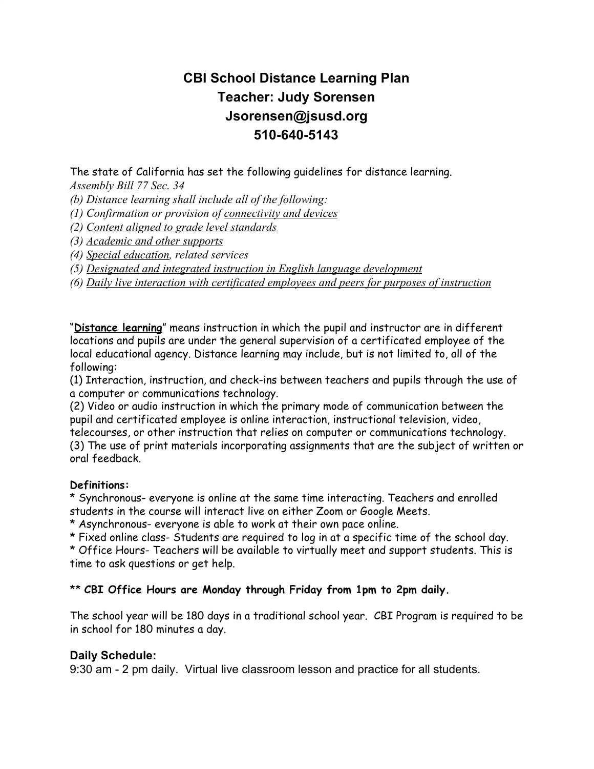## **CBI School Distance Learning Plan Teacher: Judy Sorensen Jsorensen@jsusd.org 510-640-5143**

The state of California has set the following guidelines for distance learning.

*Assembly Bill 77 Sec. 34*

*(b) Distance learning shall include all of the following:*

*(1) Confirmation or provision of connectivity and devices*

*(2) Content aligned to grade level standards*

*(3) Academic and other supports*

*(4) Special education, related services*

*(5) Designated and integrated instruction in English language development*

*(6) Daily live interaction with certificated employees and peers for purposes of instruction*

"**Distance learning**" means instruction in which the pupil and instructor are in different locations and pupils are under the general supervision of a certificated employee of the local educational agency. Distance learning may include, but is not limited to, all of the following:

(1) Interaction, instruction, and check-ins between teachers and pupils through the use of a computer or communications technology.

(2) Video or audio instruction in which the primary mode of communication between the pupil and certificated employee is online interaction, instructional television, video,

telecourses, or other instruction that relies on computer or communications technology. (3) The use of print materials incorporating assignments that are the subject of written or oral feedback.

#### **Definitions:**

\* Synchronous- everyone is online at the same time interacting. Teachers and enrolled students in the course will interact live on either Zoom or Google Meets.

\* Asynchronous- everyone is able to work at their own pace online.

\* Fixed online class- Students are required to log in at a specific time of the school day.

\* Office Hours- Teachers will be available to virtually meet and support students. This is time to ask questions or get help.

#### \*\* **CBI Office Hours are Monday through Friday from 1pm to 2pm daily.**

The school year will be 180 days in a traditional school year. CBI Program is required to be in school for 180 minutes a day.

#### **Daily Schedule:**

9:30 am - 2 pm daily. Virtual live classroom lesson and practice for all students.